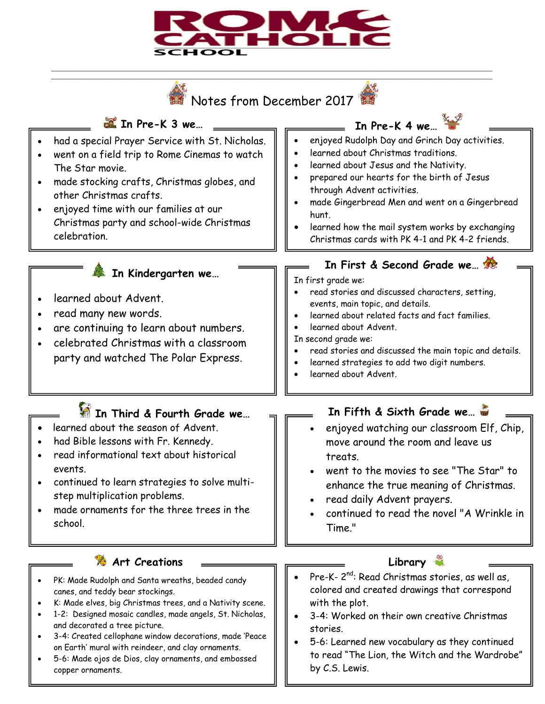

\_\_\_\_\_\_\_\_\_\_\_\_\_\_\_\_\_\_\_\_\_\_\_\_\_\_\_\_\_\_\_\_\_\_\_\_\_\_\_\_\_\_\_\_\_\_\_\_\_\_\_\_\_\_\_\_\_\_\_\_\_\_\_\_\_\_\_\_\_\_\_\_\_\_\_\_\_\_\_\_\_\_\_\_\_\_\_\_\_\_\_\_\_\_\_\_\_\_\_\_\_\_\_\_\_\_\_\_\_\_\_\_\_\_\_\_\_\_\_\_\_\_\_\_ \_\_\_\_\_\_\_\_\_\_\_\_\_\_\_\_\_\_\_\_\_\_\_\_\_\_\_\_\_\_\_\_\_\_\_\_\_\_\_\_\_\_\_\_\_\_\_\_\_\_\_\_\_\_\_\_\_\_\_\_\_\_\_\_\_\_\_\_\_\_\_\_\_\_\_\_\_\_\_\_\_\_\_\_\_\_\_\_\_\_\_\_\_\_\_\_\_\_\_\_\_\_\_\_\_\_\_\_\_\_\_\_\_\_\_\_\_\_\_\_\_\_\_\_



to read "The Lion, the Witch and the Wardrobe"

by C.S. Lewis.

- on Earth' mural with reindeer, and clay ornaments. 5-6: Made ojos de Dios, clay ornaments, and embossed
- copper ornaments. 1